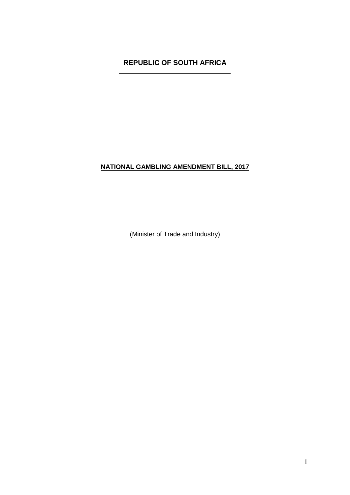#### **REPUBLIC OF SOUTH AFRICA \_\_\_\_\_\_\_\_\_\_\_\_\_\_\_\_\_\_\_\_\_\_\_\_\_\_\_\_\_\_\_**

# **NATIONAL GAMBLING AMENDMENT BILL, 2017**

(Minister of Trade and Industry)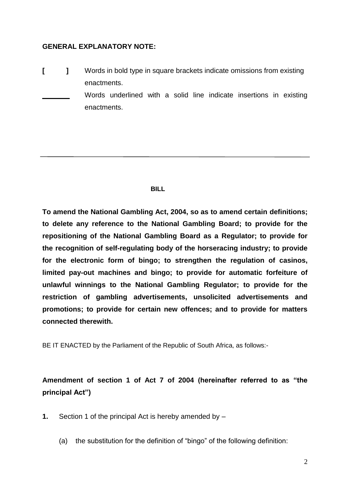#### **GENERAL EXPLANATORY NOTE:**

- **[ ]** Words in bold type in square brackets indicate omissions from existing enactments.
- Words underlined with a solid line indicate insertions in existing enactments.

#### **BILL**

**To amend the National Gambling Act, 2004, so as to amend certain definitions; to delete any reference to the National Gambling Board; to provide for the repositioning of the National Gambling Board as a Regulator; to provide for the recognition of self-regulating body of the horseracing industry; to provide for the electronic form of bingo; to strengthen the regulation of casinos, limited pay-out machines and bingo; to provide for automatic forfeiture of unlawful winnings to the National Gambling Regulator; to provide for the restriction of gambling advertisements, unsolicited advertisements and promotions; to provide for certain new offences; and to provide for matters connected therewith.**

BE IT ENACTED by the Parliament of the Republic of South Africa, as follows:-

**Amendment of section 1 of Act 7 of 2004 (hereinafter referred to as "the principal Act")**

- **1.** Section 1 of the principal Act is hereby amended by
	- (a) the substitution for the definition of "bingo" of the following definition: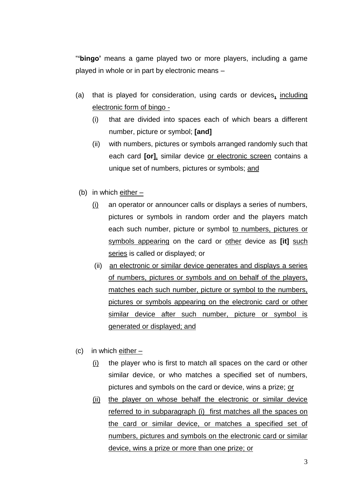"**'bingo'** means a game played two or more players, including a game played in whole or in part by electronic means –

- (a) that is played for consideration, using cards or devices**,** including electronic form of bingo -
	- (i) that are divided into spaces each of which bears a different number, picture or symbol; **[and]**
	- (ii) with numbers, pictures or symbols arranged randomly such that each card **[or]**, similar device or electronic screen contains a unique set of numbers, pictures or symbols; and
- (b) in which either
	- (i) an operator or announcer calls or displays a series of numbers, pictures or symbols in random order and the players match each such number, picture or symbol to numbers, pictures or symbols appearing on the card or other device as [it] such series is called or displayed; or
	- (ii) an electronic or similar device generates and displays a series of numbers, pictures or symbols and on behalf of the players, matches each such number, picture or symbol to the numbers, pictures or symbols appearing on the electronic card or other similar device after such number, picture or symbol is generated or displayed; and
- $(c)$  in which either  $-$ 
	- (i) the player who is first to match all spaces on the card or other similar device, or who matches a specified set of numbers, pictures and symbols on the card or device, wins a prize; or
	- (ii) the player on whose behalf the electronic or similar device referred to in subparagraph (i) first matches all the spaces on the card or similar device, or matches a specified set of numbers, pictures and symbols on the electronic card or similar device, wins a prize or more than one prize; or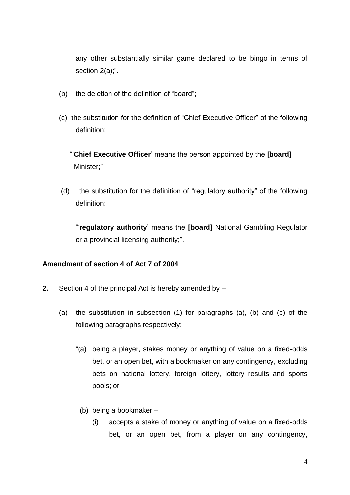any other substantially similar game declared to be bingo in terms of section 2(a);".

- (b) the deletion of the definition of "board";
- (c) the substitution for the definition of "Chief Executive Officer" of the following definition:

 "'**Chief Executive Officer**' means the person appointed by the **[board]** Minister;"

(d) the substitution for the definition of "regulatory authority" of the following definition:

"'**regulatory authority**' means the **[board]** National Gambling Regulator or a provincial licensing authority;".

#### **Amendment of section 4 of Act 7 of 2004**

- **2.** Section 4 of the principal Act is hereby amended by
	- (a) the substitution in subsection (1) for paragraphs (a), (b) and (c) of the following paragraphs respectively:
		- "(a) being a player, stakes money or anything of value on a fixed-odds bet, or an open bet, with a bookmaker on any contingency, excluding bets on national lottery, foreign lottery, lottery results and sports pools; or
			- (b) being a bookmaker
				- (i) accepts a stake of money or anything of value on a fixed-odds bet, or an open bet, from a player on any contingency,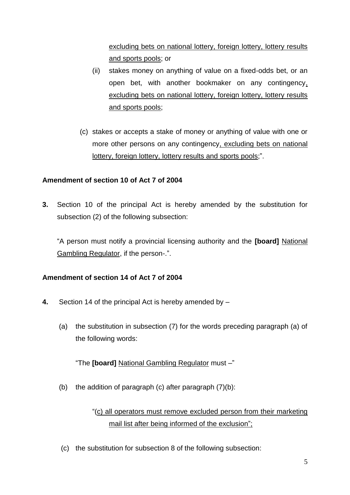excluding bets on national lottery, foreign lottery, lottery results and sports pools; or

- (ii) stakes money on anything of value on a fixed-odds bet, or an open bet, with another bookmaker on any contingency, excluding bets on national lottery, foreign lottery, lottery results and sports pools;
- (c) stakes or accepts a stake of money or anything of value with one or more other persons on any contingency, excluding bets on national lottery, foreign lottery, lottery results and sports pools;".

## **Amendment of section 10 of Act 7 of 2004**

**3.** Section 10 of the principal Act is hereby amended by the substitution for subsection (2) of the following subsection:

"A person must notify a provincial licensing authority and the **[board]** National Gambling Regulator, if the person-.".

## **Amendment of section 14 of Act 7 of 2004**

- **4.** Section 14 of the principal Act is hereby amended by
	- (a) the substitution in subsection (7) for the words preceding paragraph (a) of the following words:

"The **[board]** National Gambling Regulator must –"

(b) the addition of paragraph  $(c)$  after paragraph  $(7)(b)$ :

"(c) all operators must remove excluded person from their marketing mail list after being informed of the exclusion";

(c) the substitution for subsection 8 of the following subsection: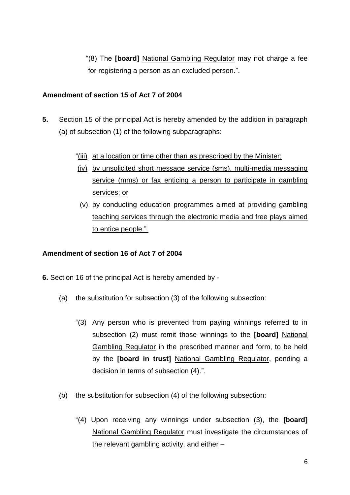"(8) The **[board]** National Gambling Regulator may not charge a fee for registering a person as an excluded person.".

## **Amendment of section 15 of Act 7 of 2004**

- **5.** Section 15 of the principal Act is hereby amended by the addition in paragraph (a) of subsection (1) of the following subparagraphs:
	- "(iii) at a location or time other than as prescribed by the Minister;
	- (iv) by unsolicited short message service (sms), multi-media messaging service (mms) or fax enticing a person to participate in gambling services; or
	- (v) by conducting education programmes aimed at providing gambling teaching services through the electronic media and free plays aimed to entice people.".

# **Amendment of section 16 of Act 7 of 2004**

- **6.** Section 16 of the principal Act is hereby amended by
	- (a) the substitution for subsection (3) of the following subsection:
		- "(3) Any person who is prevented from paying winnings referred to in subsection (2) must remit those winnings to the **[board]** National Gambling Regulator in the prescribed manner and form, to be held by the **[board in trust]** National Gambling Regulator, pending a decision in terms of subsection (4).".
	- (b) the substitution for subsection (4) of the following subsection:
		- "(4) Upon receiving any winnings under subsection (3), the **[board]** National Gambling Regulator must investigate the circumstances of the relevant gambling activity, and either –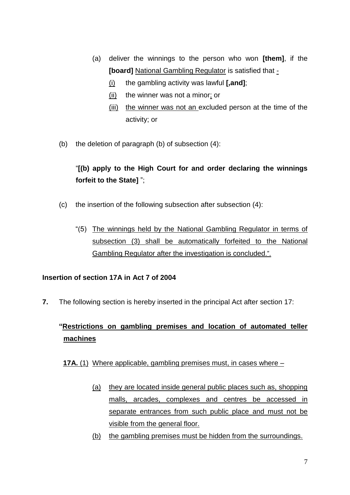- (a) deliver the winnings to the person who won **[them]**, if the **[board]** National Gambling Regulator is satisfied that -
	- (i) the gambling activity was lawful **[,and]**;
	- (ii) the winner was not a minor; or
	- (iii) the winner was not an excluded person at the time of the activity; or
- (b) the deletion of paragraph (b) of subsection (4):

# "**[(b) apply to the High Court for and order declaring the winnings forfeit to the State]** ";

- (c) the insertion of the following subsection after subsection (4):
	- "(5) The winnings held by the National Gambling Regulator in terms of subsection (3) shall be automatically forfeited to the National Gambling Regulator after the investigation is concluded.".

## **Insertion of section 17A in Act 7 of 2004**

**7.** The following section is hereby inserted in the principal Act after section 17:

# **"Restrictions on gambling premises and location of automated teller machines**

# **17A.** (1) Where applicable, gambling premises must, in cases where –

- (a) they are located inside general public places such as, shopping malls, arcades, complexes and centres be accessed in separate entrances from such public place and must not be visible from the general floor.
- (b) the gambling premises must be hidden from the surroundings.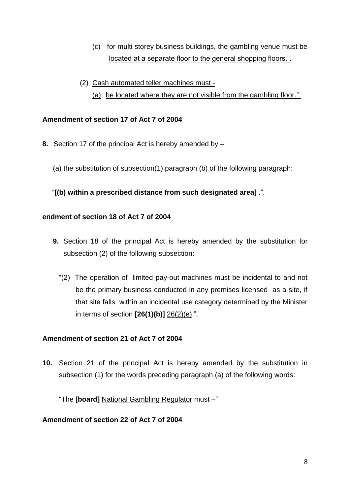- (c) for multi storey business buildings, the gambling venue must be located at a separate floor to the general shopping floors.".
- (2) Cash automated teller machines must
	- (a) be located where they are not visible from the gambling floor.".

#### **Amendment of section 17 of Act 7 of 2004**

- **8.** Section 17 of the principal Act is hereby amended by
	- (a) the substitution of subsection(1) paragraph (b) of the following paragraph:

"**[(b) within a prescribed distance from such designated area]** .".

#### **endment of section 18 of Act 7 of 2004**

- **9.** Section 18 of the principal Act is hereby amended by the substitution for subsection (2) of the following subsection:
	- "(2) The operation of limited pay-out machines must be incidental to and not be the primary business conducted in any premises licensed as a site, if that site falls within an incidental use category determined by the Minister in terms of section **[26(1)(b)]** 26(2)(e).".

#### **Amendment of section 21 of Act 7 of 2004**

**10.** Section 21 of the principal Act is hereby amended by the substitution in subsection (1) for the words preceding paragraph (a) of the following words:

"The **[board]** National Gambling Regulator must –"

**Amendment of section 22 of Act 7 of 2004**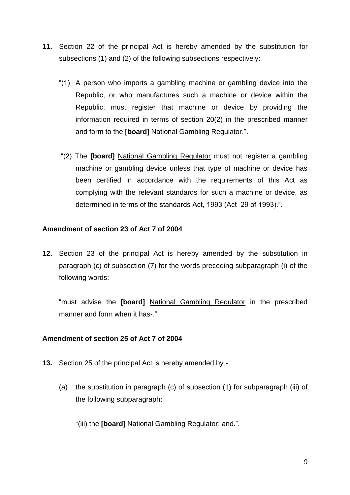- **11.** Section 22 of the principal Act is hereby amended by the substitution for subsections (1) and (2) of the following subsections respectively:
	- "(1) A person who imports a gambling machine or gambling device into the Republic, or who manufactures such a machine or device within the Republic, must register that machine or device by providing the information required in terms of section 20(2) in the prescribed manner and form to the **[board]** National Gambling Regulator.".
	- "(2) The **[board]** National Gambling Regulator must not register a gambling machine or gambling device unless that type of machine or device has been certified in accordance with the requirements of this Act as complying with the relevant standards for such a machine or device, as determined in terms of the standards Act, 1993 (Act 29 of 1993).".

#### **Amendment of section 23 of Act 7 of 2004**

**12.** Section 23 of the principal Act is hereby amended by the substitution in paragraph (c) of subsection (7) for the words preceding subparagraph (i) of the following words:

"must advise the **[board]** National Gambling Regulator in the prescribed manner and form when it has-.".

#### **Amendment of section 25 of Act 7 of 2004**

- **13.** Section 25 of the principal Act is hereby amended by
	- (a) the substitution in paragraph (c) of subsection (1) for subparagraph (iii) of the following subparagraph:
		- "(iii) the **[board]** National Gambling Regulator; and.".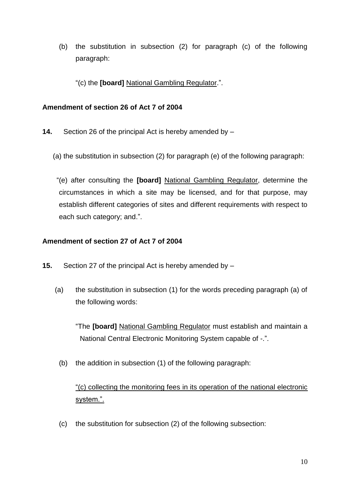- (b) the substitution in subsection (2) for paragraph (c) of the following paragraph:
	- "(c) the **[board]** National Gambling Regulator.".

#### **Amendment of section 26 of Act 7 of 2004**

- **14.** Section 26 of the principal Act is hereby amended by
	- (a) the substitution in subsection (2) for paragraph (e) of the following paragraph:

 "(e) after consulting the **[board]** National Gambling Regulator, determine the circumstances in which a site may be licensed, and for that purpose, may establish different categories of sites and different requirements with respect to each such category; and.".

#### **Amendment of section 27 of Act 7 of 2004**

- **15.** Section 27 of the principal Act is hereby amended by
	- (a) the substitution in subsection (1) for the words preceding paragraph (a) of the following words:

"The **[board]** National Gambling Regulator must establish and maintain a National Central Electronic Monitoring System capable of -.".

(b) the addition in subsection (1) of the following paragraph:

"(c) collecting the monitoring fees in its operation of the national electronic system.".

(c) the substitution for subsection (2) of the following subsection: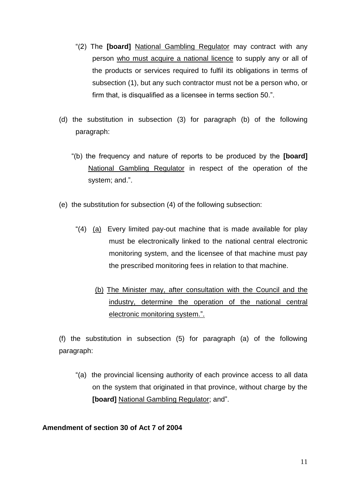- "(2) The **[board]** National Gambling Regulator may contract with any person who must acquire a national licence to supply any or all of the products or services required to fulfil its obligations in terms of subsection (1), but any such contractor must not be a person who, or firm that, is disqualified as a licensee in terms section 50.".
- (d) the substitution in subsection (3) for paragraph (b) of the following paragraph:
	- "(b) the frequency and nature of reports to be produced by the **[board]** National Gambling Regulator in respect of the operation of the system; and.".
- (e) the substitution for subsection (4) of the following subsection:
	- "(4) (a) Every limited pay-out machine that is made available for play must be electronically linked to the national central electronic monitoring system, and the licensee of that machine must pay the prescribed monitoring fees in relation to that machine.
		- (b) The Minister may, after consultation with the Council and the industry, determine the operation of the national central electronic monitoring system.".

(f) the substitution in subsection (5) for paragraph (a) of the following paragraph:

"(a) the provincial licensing authority of each province access to all data on the system that originated in that province, without charge by the **[board]** National Gambling Regulator; and".

#### **Amendment of section 30 of Act 7 of 2004**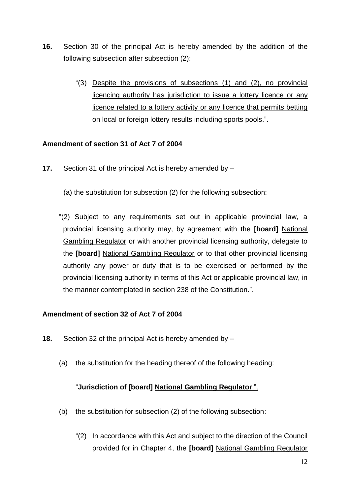- **16.** Section 30 of the principal Act is hereby amended by the addition of the following subsection after subsection (2):
	- "(3) Despite the provisions of subsections (1) and (2), no provincial licencing authority has jurisdiction to issue a lottery licence or any licence related to a lottery activity or any licence that permits betting on local or foreign lottery results including sports pools.".

## **Amendment of section 31 of Act 7 of 2004**

- **17.** Section 31 of the principal Act is hereby amended by
	- (a) the substitution for subsection (2) for the following subsection:
	- "(2) Subject to any requirements set out in applicable provincial law, a provincial licensing authority may, by agreement with the **[board]** National Gambling Regulator or with another provincial licensing authority, delegate to the **[board]** National Gambling Regulator or to that other provincial licensing authority any power or duty that is to be exercised or performed by the provincial licensing authority in terms of this Act or applicable provincial law, in the manner contemplated in section 238 of the Constitution.".

## **Amendment of section 32 of Act 7 of 2004**

- **18.** Section 32 of the principal Act is hereby amended by
	- (a) the substitution for the heading thereof of the following heading:

## "**Jurisdiction of [board] National Gambling Regulator**.".

- (b) the substitution for subsection (2) of the following subsection:
	- "(2) In accordance with this Act and subject to the direction of the Council provided for in Chapter 4, the **[board]** National Gambling Regulator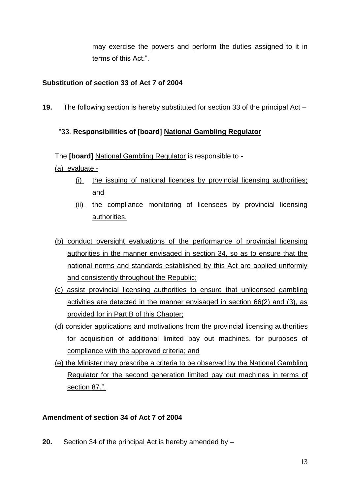may exercise the powers and perform the duties assigned to it in terms of this Act."

# **Substitution of section 33 of Act 7 of 2004**

**19.** The following section is hereby substituted for section 33 of the principal Act –

# "33. **Responsibilities of [board] National Gambling Regulator**

The **[board]** National Gambling Regulator is responsible to -

# (a) evaluate -

- (i) the issuing of national licences by provincial licensing authorities; and
- (ii) the compliance monitoring of licensees by provincial licensing authorities.
- (b) conduct oversight evaluations of the performance of provincial licensing authorities in the manner envisaged in section 34, so as to ensure that the national norms and standards established by this Act are applied uniformly and consistently throughout the Republic;
- (c) assist provincial licensing authorities to ensure that unlicensed gambling activities are detected in the manner envisaged in section 66(2) and (3), as provided for in Part B of this Chapter;
- (d) consider applications and motivations from the provincial licensing authorities for acquisition of additional limited pay out machines, for purposes of compliance with the approved criteria; and
- (e) the Minister may prescribe a criteria to be observed by the National Gambling Regulator for the second generation limited pay out machines in terms of section 87.".

# **Amendment of section 34 of Act 7 of 2004**

**20.** Section 34 of the principal Act is hereby amended by –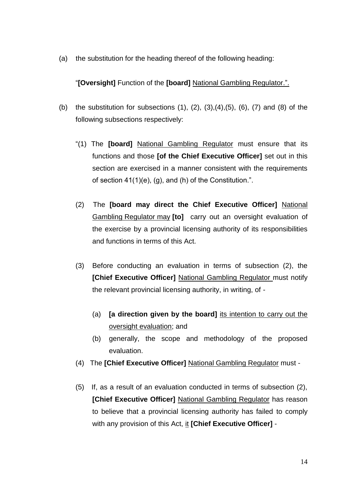(a) the substitution for the heading thereof of the following heading:

#### "**[Oversight]** Function of the **[board]** National Gambling Regulator.".

- (b) the substitution for subsections  $(1)$ ,  $(2)$ ,  $(3)$ ,  $(4)$ ,  $(5)$ ,  $(6)$ ,  $(7)$  and  $(8)$  of the following subsections respectively:
	- "(1) The **[board]** National Gambling Regulator must ensure that its functions and those **[of the Chief Executive Officer]** set out in this section are exercised in a manner consistent with the requirements of section 41(1)(e), (g), and (h) of the Constitution.".
	- (2) The **[board may direct the Chief Executive Officer]** National Gambling Regulator may **[to]** carry out an oversight evaluation of the exercise by a provincial licensing authority of its responsibilities and functions in terms of this Act.
	- (3) Before conducting an evaluation in terms of subsection (2), the **[Chief Executive Officer]** National Gambling Regulator must notify the relevant provincial licensing authority, in writing, of -
		- (a) **[a direction given by the board]** its intention to carry out the oversight evaluation; and
		- (b) generally, the scope and methodology of the proposed evaluation.
	- (4) The **[Chief Executive Officer]** National Gambling Regulator must -
	- (5) If, as a result of an evaluation conducted in terms of subsection (2), **[Chief Executive Officer]** National Gambling Regulator has reason to believe that a provincial licensing authority has failed to comply with any provision of this Act, it **[Chief Executive Officer]** -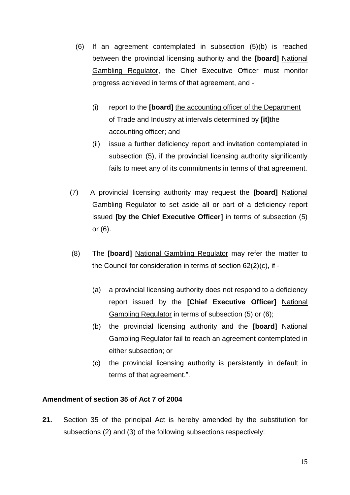- (6) If an agreement contemplated in subsection (5)(b) is reached between the provincial licensing authority and the **[board]** National Gambling Regulator, the Chief Executive Officer must monitor progress achieved in terms of that agreement, and -
	- (i) report to the **[board]** the accounting officer of the Department of Trade and Industry at intervals determined by **[it]**the accounting officer; and
	- (ii) issue a further deficiency report and invitation contemplated in subsection (5), if the provincial licensing authority significantly fails to meet any of its commitments in terms of that agreement.
- (7) A provincial licensing authority may request the **[board]** National Gambling Regulator to set aside all or part of a deficiency report issued **[by the Chief Executive Officer]** in terms of subsection (5) or (6).
- (8) The **[board]** National Gambling Regulator may refer the matter to the Council for consideration in terms of section 62(2)(c), if -
	- (a) a provincial licensing authority does not respond to a deficiency report issued by the **[Chief Executive Officer]** National Gambling Regulator in terms of subsection (5) or (6);
	- (b) the provincial licensing authority and the **[board]** National Gambling Regulator fail to reach an agreement contemplated in either subsection; or
	- (c) the provincial licensing authority is persistently in default in terms of that agreement.".

#### **Amendment of section 35 of Act 7 of 2004**

**21.** Section 35 of the principal Act is hereby amended by the substitution for subsections (2) and (3) of the following subsections respectively: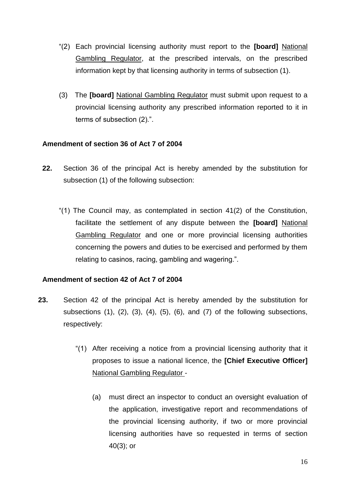- "(2) Each provincial licensing authority must report to the **[board]** National Gambling Regulator, at the prescribed intervals, on the prescribed information kept by that licensing authority in terms of subsection (1).
- (3) The **[board]** National Gambling Regulator must submit upon request to a provincial licensing authority any prescribed information reported to it in terms of subsection (2).".

#### **Amendment of section 36 of Act 7 of 2004**

- **22.** Section 36 of the principal Act is hereby amended by the substitution for subsection (1) of the following subsection:
	- "(1) The Council may, as contemplated in section 41(2) of the Constitution, facilitate the settlement of any dispute between the **[board]** National Gambling Regulator and one or more provincial licensing authorities concerning the powers and duties to be exercised and performed by them relating to casinos, racing, gambling and wagering.".

## **Amendment of section 42 of Act 7 of 2004**

- **23.** Section 42 of the principal Act is hereby amended by the substitution for subsections (1), (2), (3), (4), (5), (6), and (7) of the following subsections, respectively:
	- "(1) After receiving a notice from a provincial licensing authority that it proposes to issue a national licence, the **[Chief Executive Officer]** National Gambling Regulator -
		- (a) must direct an inspector to conduct an oversight evaluation of the application, investigative report and recommendations of the provincial licensing authority, if two or more provincial licensing authorities have so requested in terms of section 40(3); or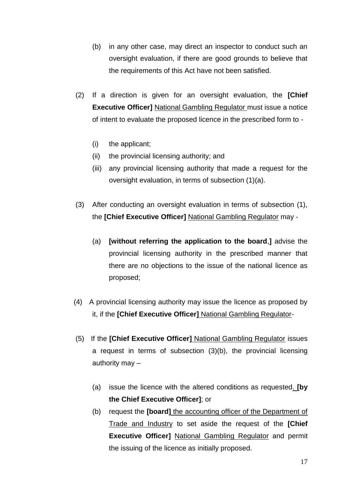- (b) in any other case, may direct an inspector to conduct such an oversight evaluation, if there are good grounds to believe that the requirements of this Act have not been satisfied.
- (2) If a direction is given for an oversight evaluation, the **[Chief Executive Officer]** National Gambling Regulator must issue a notice of intent to evaluate the proposed licence in the prescribed form to -
	- (i) the applicant;
	- (ii) the provincial licensing authority; and
	- (iii) any provincial licensing authority that made a request for the oversight evaluation, in terms of subsection (1)(a).
- (3) After conducting an oversight evaluation in terms of subsection (1), the **[Chief Executive Officer]** National Gambling Regulator may -
	- (a) **[without referring the application to the board**,**]** advise the provincial licensing authority in the prescribed manner that there are no objections to the issue of the national licence as proposed;
- (4) A provincial licensing authority may issue the licence as proposed by it, if the **[Chief Executive Officer]** National Gambling Regulator-
- (5) If the **[Chief Executive Officer]** National Gambling Regulator issues a request in terms of subsection (3)(b), the provincial licensing authority may –
	- (a) issue the licence with the altered conditions as requested. **[by the Chief Executive Officer]**; or
	- (b) request the **[board]** the accounting officer of the Department of Trade and Industry to set aside the request of the **[Chief Executive Officer]** National Gambling Regulator and permit the issuing of the licence as initially proposed.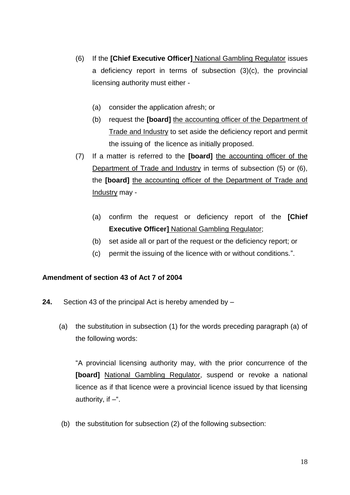- (6) If the **[Chief Executive Officer]** National Gambling Regulator issues a deficiency report in terms of subsection (3)(c), the provincial licensing authority must either -
	- (a) consider the application afresh; or
	- (b) request the **[board]** the accounting officer of the Department of Trade and Industry to set aside the deficiency report and permit the issuing of the licence as initially proposed.
- (7) If a matter is referred to the **[board]** the accounting officer of the Department of Trade and Industry in terms of subsection (5) or (6), the **[board]** the accounting officer of the Department of Trade and Industry may -
	- (a) confirm the request or deficiency report of the **[Chief Executive Officer]** National Gambling Regulator;
	- (b) set aside all or part of the request or the deficiency report; or
	- (c) permit the issuing of the licence with or without conditions.".

## **Amendment of section 43 of Act 7 of 2004**

- **24.** Section 43 of the principal Act is hereby amended by
	- (a) the substitution in subsection (1) for the words preceding paragraph (a) of the following words:

"A provincial licensing authority may, with the prior concurrence of the **[board]** National Gambling Regulator, suspend or revoke a national licence as if that licence were a provincial licence issued by that licensing authority, if  $-$ ".

(b) the substitution for subsection (2) of the following subsection: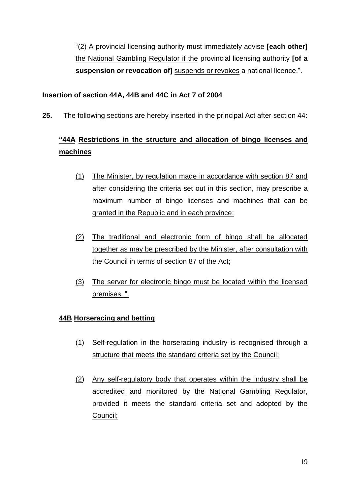"(2) A provincial licensing authority must immediately advise **[each other]** the National Gambling Regulator if the provincial licensing authority **[of a suspension or revocation of]** suspends or revokes a national licence.".

## **Insertion of section 44A, 44B and 44C in Act 7 of 2004**

**25.** The following sections are hereby inserted in the principal Act after section 44:

# **"44A Restrictions in the structure and allocation of bingo licenses and machines**

- (1) The Minister, by regulation made in accordance with section 87 and after considering the criteria set out in this section, may prescribe a maximum number of bingo licenses and machines that can be granted in the Republic and in each province;
- (2) The traditional and electronic form of bingo shall be allocated together as may be prescribed by the Minister, after consultation with the Council in terms of section 87 of the Act;
- (3) The server for electronic bingo must be located within the licensed premises. ".

# **44B Horseracing and betting**

- (1) Self-regulation in the horseracing industry is recognised through a structure that meets the standard criteria set by the Council;
- (2) Any self-regulatory body that operates within the industry shall be accredited and monitored by the National Gambling Regulator, provided it meets the standard criteria set and adopted by the Council;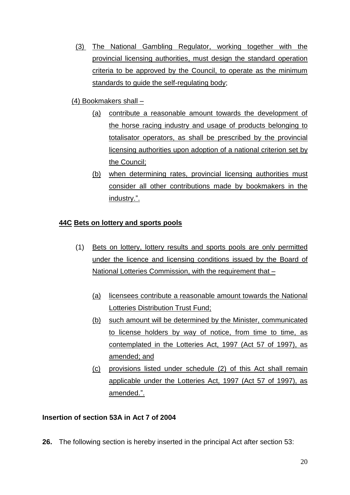- (3) The National Gambling Regulator, working together with the provincial licensing authorities, must design the standard operation criteria to be approved by the Council, to operate as the minimum standards to guide the self-regulating body;
- (4) Bookmakers shall
	- (a) contribute a reasonable amount towards the development of the horse racing industry and usage of products belonging to totalisator operators, as shall be prescribed by the provincial licensing authorities upon adoption of a national criterion set by the Council;
	- (b) when determining rates, provincial licensing authorities must consider all other contributions made by bookmakers in the industry.".

# **44C Bets on lottery and sports pools**

- (1) Bets on lottery, lottery results and sports pools are only permitted under the licence and licensing conditions issued by the Board of National Lotteries Commission, with the requirement that –
	- (a) licensees contribute a reasonable amount towards the National Lotteries Distribution Trust Fund;
	- (b) such amount will be determined by the Minister, communicated to license holders by way of notice, from time to time, as contemplated in the Lotteries Act, 1997 (Act 57 of 1997), as amended; and
	- (c) provisions listed under schedule (2) of this Act shall remain applicable under the Lotteries Act, 1997 (Act 57 of 1997), as amended.".

## **Insertion of section 53A in Act 7 of 2004**

**26.** The following section is hereby inserted in the principal Act after section 53: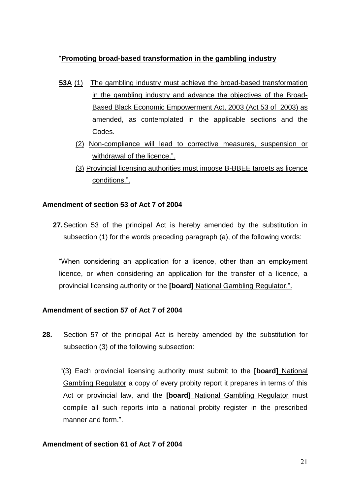# "**Promoting broad-based transformation in the gambling industry**

- **53A** (1) The gambling industry must achieve the broad-based transformation in the gambling industry and advance the objectives of the Broad-Based Black Economic Empowerment Act, 2003 (Act 53 of 2003) as amended, as contemplated in the applicable sections and the Codes.
	- (2) Non-compliance will lead to corrective measures, suspension or withdrawal of the licence.".
	- (3) Provincial licensing authorities must impose B-BBEE targets as licence conditions.".

# **Amendment of section 53 of Act 7 of 2004**

**27.**Section 53 of the principal Act is hereby amended by the substitution in subsection (1) for the words preceding paragraph (a), of the following words:

"When considering an application for a licence, other than an employment licence, or when considering an application for the transfer of a licence, a provincial licensing authority or the **[board]** National Gambling Regulator.".

## **Amendment of section 57 of Act 7 of 2004**

**28.** Section 57 of the principal Act is hereby amended by the substitution for subsection (3) of the following subsection:

"(3) Each provincial licensing authority must submit to the **[board]** National Gambling Regulator a copy of every probity report it prepares in terms of this Act or provincial law, and the **[board]** National Gambling Regulator must compile all such reports into a national probity register in the prescribed manner and form."

## **Amendment of section 61 of Act 7 of 2004**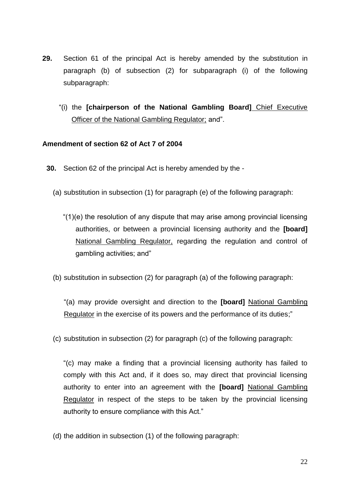- **29.** Section 61 of the principal Act is hereby amended by the substitution in paragraph (b) of subsection (2) for subparagraph (i) of the following subparagraph:
	- "(i) the **[chairperson of the National Gambling Board]** Chief Executive Officer of the National Gambling Regulator; and".

#### **Amendment of section 62 of Act 7 of 2004**

- **30.** Section 62 of the principal Act is hereby amended by the
	- (a) substitution in subsection (1) for paragraph (e) of the following paragraph:
		- "(1)(e) the resolution of any dispute that may arise among provincial licensing authorities, or between a provincial licensing authority and the **[board]** National Gambling Regulator, regarding the regulation and control of gambling activities; and"
	- (b) substitution in subsection (2) for paragraph (a) of the following paragraph:

"(a) may provide oversight and direction to the **[board]** National Gambling Regulator in the exercise of its powers and the performance of its duties;"

(c) substitution in subsection (2) for paragraph (c) of the following paragraph:

"(c) may make a finding that a provincial licensing authority has failed to comply with this Act and, if it does so, may direct that provincial licensing authority to enter into an agreement with the **[board]** National Gambling Regulator in respect of the steps to be taken by the provincial licensing authority to ensure compliance with this Act."

(d) the addition in subsection (1) of the following paragraph: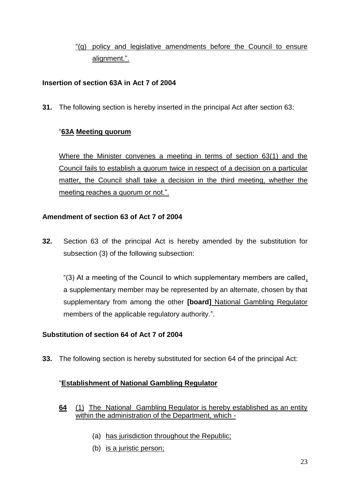# "(g) policy and legislative amendments before the Council to ensure alignment.".

## **Insertion of section 63A in Act 7 of 2004**

**31.** The following section is hereby inserted in the principal Act after section 63:

# "**63A Meeting quorum**

Where the Minister convenes a meeting in terms of section 63(1) and the Council fails to establish a quorum twice in respect of a decision on a particular matter, the Council shall take a decision in the third meeting, whether the meeting reaches a quorum or not.".

## **Amendment of section 63 of Act 7 of 2004**

**32.** Section 63 of the principal Act is hereby amended by the substitution for subsection (3) of the following subsection:

"(3) At a meeting of the Council to which supplementary members are called, a supplementary member may be represented by an alternate, chosen by that supplementary from among the other **[board]** National Gambling Regulator members of the applicable regulatory authority.".

## **Substitution of section 64 of Act 7 of 2004**

**33.** The following section is hereby substituted for section 64 of the principal Act:

## "**Establishment of National Gambling Regulator**

- **64** (1) The National Gambling Regulator is hereby established as an entity within the administration of the Department, which -
	- (a) has jurisdiction throughout the Republic;
	- (b) is a juristic person;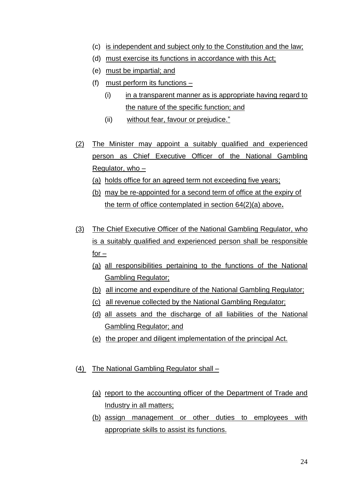- (c) is independent and subject only to the Constitution and the law;
- (d) must exercise its functions in accordance with this Act;
- (e) must be impartial; and
- (f) must perform its functions
	- (i) in a transparent manner as is appropriate having regard to the nature of the specific function; and
	- (ii) without fear, favour or prejudice."
- (2) The Minister may appoint a suitably qualified and experienced person as Chief Executive Officer of the National Gambling Regulator, who –
	- (a) holds office for an agreed term not exceeding five years;
	- (b) may be re-appointed for a second term of office at the expiry of the term of office contemplated in section 64(2)(a) above**.**
- (3) The Chief Executive Officer of the National Gambling Regulator, who is a suitably qualified and experienced person shall be responsible for  $-$ 
	- (a) all responsibilities pertaining to the functions of the National Gambling Regulator;
	- (b) all income and expenditure of the National Gambling Regulator;
	- (c) all revenue collected by the National Gambling Regulator;
	- (d) all assets and the discharge of all liabilities of the National Gambling Regulator; and
	- (e) the proper and diligent implementation of the principal Act.
- (4) The National Gambling Regulator shall
	- (a) report to the accounting officer of the Department of Trade and Industry in all matters;
	- (b) assign management or other duties to employees with appropriate skills to assist its functions.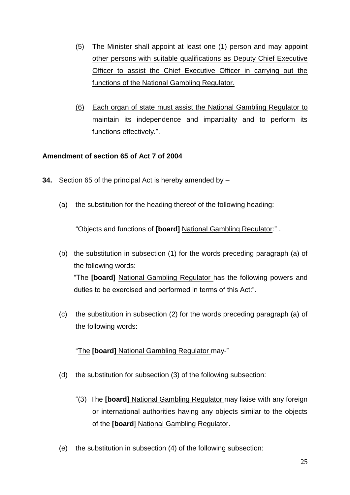- (5) The Minister shall appoint at least one (1) person and may appoint other persons with suitable qualifications as Deputy Chief Executive Officer to assist the Chief Executive Officer in carrying out the functions of the National Gambling Regulator.
- (6) Each organ of state must assist the National Gambling Regulator to maintain its independence and impartiality and to perform its functions effectively.".

## **Amendment of section 65 of Act 7 of 2004**

- **34.** Section 65 of the principal Act is hereby amended by
	- (a) the substitution for the heading thereof of the following heading:

"Objects and functions of **[board]** National Gambling Regulator:" .

- (b) the substitution in subsection (1) for the words preceding paragraph (a) of the following words: "The **[board]** National Gambling Regulator has the following powers and duties to be exercised and performed in terms of this Act:".
- (c) the substitution in subsection (2) for the words preceding paragraph (a) of the following words:

"The **[board]** National Gambling Regulator may-"

- (d) the substitution for subsection (3) of the following subsection:
	- "(3) The **[board]** National Gambling Regulator may liaise with any foreign or international authorities having any objects similar to the objects of the **[board**] National Gambling Regulator.
- (e) the substitution in subsection (4) of the following subsection: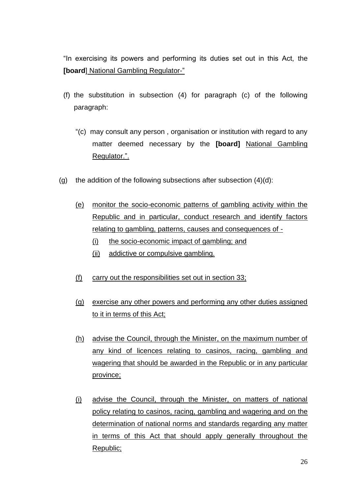"In exercising its powers and performing its duties set out in this Act, the **[board**] National Gambling Regulator-"

- (f) the substitution in subsection (4) for paragraph (c) of the following paragraph:
	- "(c) may consult any person , organisation or institution with regard to any matter deemed necessary by the **[board]** National Gambling Regulator.".
- (g) the addition of the following subsections after subsection  $(4)(d)$ :
	- (e) monitor the socio-economic patterns of gambling activity within the Republic and in particular, conduct research and identify factors relating to gambling, patterns, causes and consequences of -
		- (i) the socio-economic impact of gambling; and
		- (ii) addictive or compulsive gambling.
	- (f) carry out the responsibilities set out in section 33;
	- (g) exercise any other powers and performing any other duties assigned to it in terms of this Act;
	- (h) advise the Council, through the Minister, on the maximum number of any kind of licences relating to casinos, racing, gambling and wagering that should be awarded in the Republic or in any particular province;
	- (i) advise the Council, through the Minister, on matters of national policy relating to casinos, racing, gambling and wagering and on the determination of national norms and standards regarding any matter in terms of this Act that should apply generally throughout the Republic;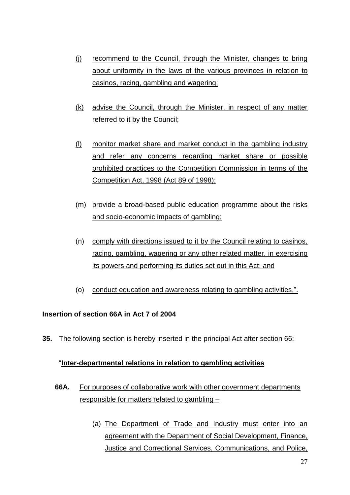- (j) recommend to the Council, through the Minister, changes to bring about uniformity in the laws of the various provinces in relation to casinos, racing, gambling and wagering;
- (k) advise the Council, through the Minister, in respect of any matter referred to it by the Council;
- (l) monitor market share and market conduct in the gambling industry and refer any concerns regarding market share or possible prohibited practices to the Competition Commission in terms of the Competition Act, 1998 (Act 89 of 1998);
- (m) provide a broad-based public education programme about the risks and socio-economic impacts of gambling;
- (n) comply with directions issued to it by the Council relating to casinos, racing, gambling, wagering or any other related matter, in exercising its powers and performing its duties set out in this Act; and
- (o) conduct education and awareness relating to gambling activities.".

## **Insertion of section 66A in Act 7 of 2004**

**35.** The following section is hereby inserted in the principal Act after section 66:

## "**Inter-departmental relations in relation to gambling activities**

- **66A.** For purposes of collaborative work with other government departments responsible for matters related to gambling –
	- (a) The Department of Trade and Industry must enter into an agreement with the Department of Social Development, Finance, Justice and Correctional Services, Communications, and Police,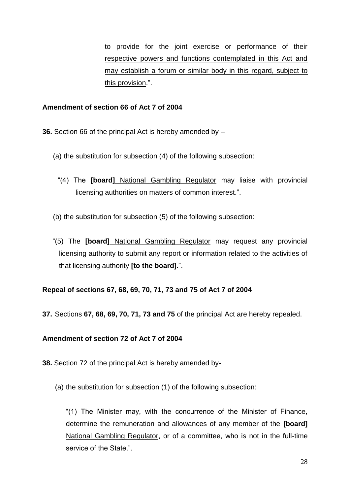to provide for the joint exercise or performance of their respective powers and functions contemplated in this Act and may establish a forum or similar body in this regard, subject to this provision.".

#### **Amendment of section 66 of Act 7 of 2004**

- **36.** Section 66 of the principal Act is hereby amended by
	- (a) the substitution for subsection (4) of the following subsection:
		- "(4) The **[board]** National Gambling Regulator may liaise with provincial licensing authorities on matters of common interest.".
	- (b) the substitution for subsection (5) of the following subsection:
	- "(5) The **[board]** National Gambling Regulator may request any provincial licensing authority to submit any report or information related to the activities of that licensing authority **[to the board]**.".

#### **Repeal of sections 67, 68, 69, 70, 71, 73 and 75 of Act 7 of 2004**

**37.** Sections **67, 68, 69, 70, 71, 73 and 75** of the principal Act are hereby repealed.

#### **Amendment of section 72 of Act 7 of 2004**

- **38.** Section 72 of the principal Act is hereby amended by-
	- (a) the substitution for subsection (1) of the following subsection:

"(1) The Minister may, with the concurrence of the Minister of Finance, determine the remuneration and allowances of any member of the **[board]** National Gambling Regulator, or of a committee, who is not in the full-time service of the State."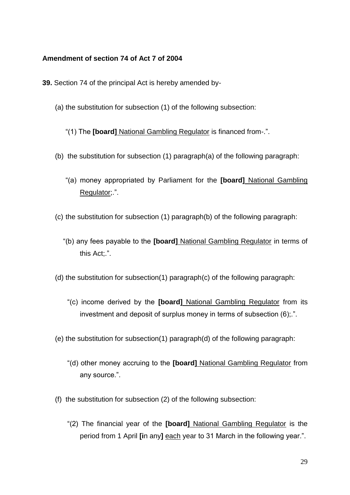#### **Amendment of section 74 of Act 7 of 2004**

**39.** Section 74 of the principal Act is hereby amended by-

(a) the substitution for subsection (1) of the following subsection:

"(1) The **[board]** National Gambling Regulator is financed from-.".

- (b) the substitution for subsection (1) paragraph(a) of the following paragraph:
	- "(a) money appropriated by Parliament for the **[board]** National Gambling Regulator;.".
- (c) the substitution for subsection (1) paragraph(b) of the following paragraph:
	- "(b) any fees payable to the **[board]** National Gambling Regulator in terms of this Act;.".
- (d) the substitution for subsection(1) paragraph(c) of the following paragraph:
	- "(c) income derived by the **[board]** National Gambling Regulator from its investment and deposit of surplus money in terms of subsection (6);.".
- (e) the substitution for subsection(1) paragraph(d) of the following paragraph:
	- "(d) other money accruing to the **[board]** National Gambling Regulator from any source.".
- (f) the substitution for subsection (2) of the following subsection:
	- "(2) The financial year of the **[board]** National Gambling Regulator is the period from 1 April **[i**n any**]** each year to 31 March in the following year.".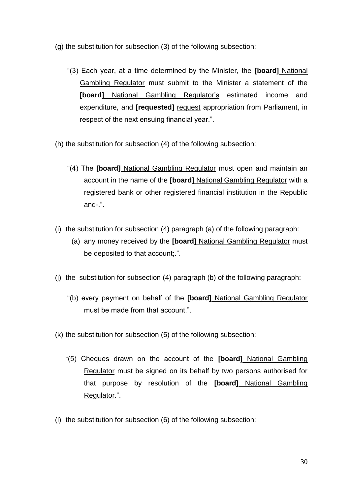- (g) the substitution for subsection (3) of the following subsection:
	- "(3) Each year, at a time determined by the Minister, the **[board]** National Gambling Regulator must submit to the Minister a statement of the **[board]** National Gambling Regulator's estimated income and expenditure, and **[requested]** request appropriation from Parliament, in respect of the next ensuing financial year.".
- (h) the substitution for subsection (4) of the following subsection:
	- "(4) The **[board]** National Gambling Regulator must open and maintain an account in the name of the **[board]** National Gambling Regulator with a registered bank or other registered financial institution in the Republic and-.".
- (i) the substitution for subsection (4) paragraph (a) of the following paragraph:
	- (a) any money received by the **[board]** National Gambling Regulator must be deposited to that account;.".
- (j) the substitution for subsection (4) paragraph (b) of the following paragraph:
	- "(b) every payment on behalf of the **[board]** National Gambling Regulator must be made from that account.".
- (k) the substitution for subsection (5) of the following subsection:
	- "(5) Cheques drawn on the account of the **[board]** National Gambling Regulator must be signed on its behalf by two persons authorised for that purpose by resolution of the **[board]** National Gambling Regulator.".
- (l) the substitution for subsection (6) of the following subsection: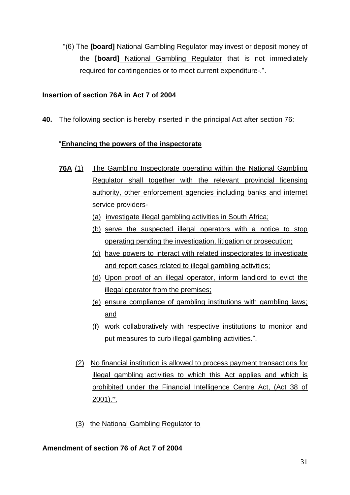"(6) The **[board]** National Gambling Regulator may invest or deposit money of the **[board]** National Gambling Regulator that is not immediately required for contingencies or to meet current expenditure-.".

#### **Insertion of section 76A in Act 7 of 2004**

**40.** The following section is hereby inserted in the principal Act after section 76:

## "**Enhancing the powers of the inspectorate**

- **76A** (1) The Gambling Inspectorate operating within the National Gambling Regulator shall together with the relevant provincial licensing authority, other enforcement agencies including banks and internet service providers-
	- (a) investigate illegal gambling activities in South Africa;
	- (b) serve the suspected illegal operators with a notice to stop operating pending the investigation, litigation or prosecution;
	- (c) have powers to interact with related inspectorates to investigate and report cases related to illegal gambling activities;
	- (d) Upon proof of an illegal operator, inform landlord to evict the illegal operator from the premises;
	- (e) ensure compliance of gambling institutions with gambling laws; and
	- (f) work collaboratively with respective institutions to monitor and put measures to curb illegal gambling activities.".
	- (2) No financial institution is allowed to process payment transactions for illegal gambling activities to which this Act applies and which is prohibited under the Financial Intelligence Centre Act, (Act 38 of 2001).".
	- (3) the National Gambling Regulator to

## **Amendment of section 76 of Act 7 of 2004**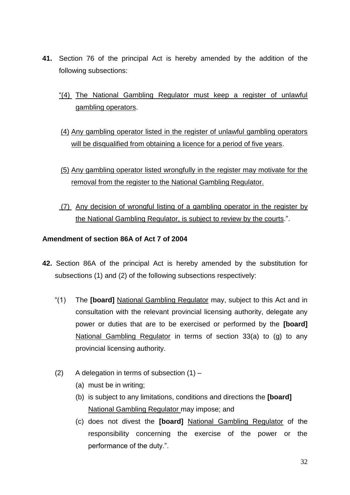- **41.** Section 76 of the principal Act is hereby amended by the addition of the following subsections:
	- "(4) The National Gambling Regulator must keep a register of unlawful gambling operators.
	- (4) Any gambling operator listed in the register of unlawful gambling operators will be disqualified from obtaining a licence for a period of five years.
	- (5) Any gambling operator listed wrongfully in the register may motivate for the removal from the register to the National Gambling Regulator.
	- (7) Any decision of wrongful listing of a gambling operator in the register by the National Gambling Regulator, is subject to review by the courts.".

#### **Amendment of section 86A of Act 7 of 2004**

- **42.** Section 86A of the principal Act is hereby amended by the substitution for subsections (1) and (2) of the following subsections respectively:
	- "(1) The **[board]** National Gambling Regulator may, subject to this Act and in consultation with the relevant provincial licensing authority, delegate any power or duties that are to be exercised or performed by the **[board]** National Gambling Regulator in terms of section 33(a) to (g) to any provincial licensing authority.
	- (2) A delegation in terms of subsection  $(1)$ 
		- (a) must be in writing;
		- (b) is subject to any limitations, conditions and directions the **[board]** National Gambling Regulator may impose; and
		- (c) does not divest the **[board]** National Gambling Regulator of the responsibility concerning the exercise of the power or the performance of the duty.".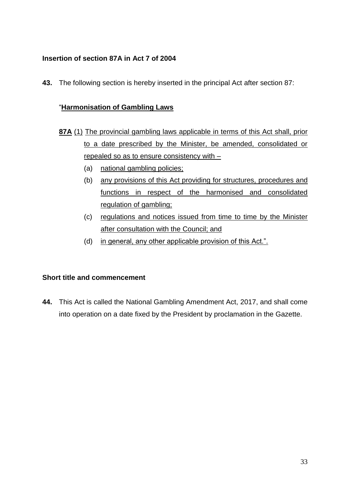# **Insertion of section 87A in Act 7 of 2004**

**43.** The following section is hereby inserted in the principal Act after section 87:

## "**Harmonisation of Gambling Laws**

- **87A** (1) The provincial gambling laws applicable in terms of this Act shall, prior to a date prescribed by the Minister, be amended, consolidated or repealed so as to ensure consistency with –
	- (a) national gambling policies;
	- (b) any provisions of this Act providing for structures, procedures and functions in respect of the harmonised and consolidated regulation of gambling;
	- (c) regulations and notices issued from time to time by the Minister after consultation with the Council; and
	- (d) in general, any other applicable provision of this Act.".

## **Short title and commencement**

**44.** This Act is called the National Gambling Amendment Act, 2017, and shall come into operation on a date fixed by the President by proclamation in the Gazette.